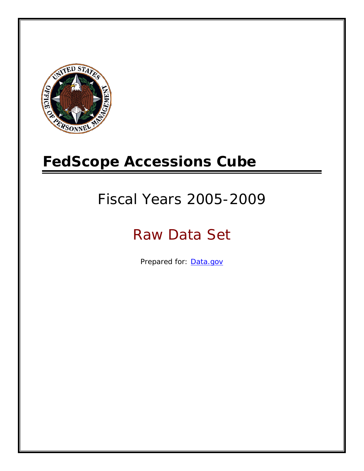

# **FedScope Accessions Cube**

# Fiscal Years 2005-2009

# Raw Data Set

Prepared for: [Data.gov](http://www.data.gov/)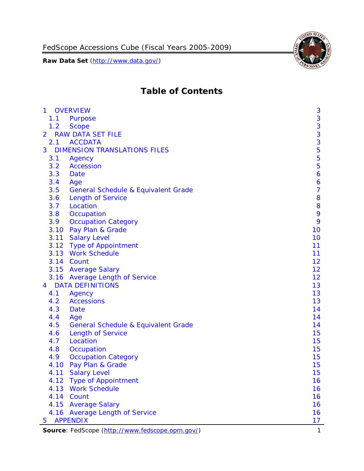

# **Table of Contents**

| $\mathbf{1}$   | <b>OVERVIEW</b>                                 | 3                |
|----------------|-------------------------------------------------|------------------|
| 1.1            | Purpose                                         | $\mathbf{3}$     |
| 1.2            | <b>Scope</b>                                    | 3                |
| $\overline{2}$ | <b>RAW DATA SET FILE</b>                        | 3                |
| 2.1            | <b>ACCDATA</b>                                  | 3                |
| 3              | <b>DIMENSION TRANSLATIONS FILES</b>             | 5                |
| 3.1            | Agency                                          | 5                |
| 3.2            | <b>Accession</b>                                | 5                |
| 3.3            | <b>Date</b>                                     | $\boldsymbol{6}$ |
| 3.4            | Age                                             | 6                |
| 3.5            | <b>General Schedule &amp; Equivalent Grade</b>  | $\overline{7}$   |
| 3.6            | <b>Length of Service</b>                        | 8                |
| 3.7            | Location                                        | 8                |
| 3.8            | Occupation                                      | 9                |
| 3.9            | <b>Occupation Category</b>                      | 9                |
| 3.10           | Pay Plan & Grade                                | 10               |
|                | 3.11 Salary Level                               | 10               |
|                | 3.12 Type of Appointment                        | 11               |
|                | 3.13 Work Schedule                              | 11               |
|                | 3.14 Count                                      | 12               |
|                | 3.15 Average Salary                             | 12               |
|                | 3.16 Average Length of Service                  | 12               |
| 4              | <b>DATA DEFINITIONS</b>                         | 13               |
| 4.1            | Agency                                          | 13               |
| 4.2            | <b>Accessions</b>                               | 13               |
| 4.3            | Date                                            | 14               |
| 4.4            | Age                                             | 14               |
| 4.5            | <b>General Schedule &amp; Equivalent Grade</b>  | 14               |
| 4.6            | <b>Length of Service</b>                        | 15               |
| 4.7            | Location                                        | 15               |
| 4.8            | Occupation                                      | 15               |
| 4.9            | <b>Occupation Category</b>                      | 15               |
| 4.10           | Pay Plan & Grade                                | 15               |
|                | 4.11 Salary Level                               | 15               |
| 4.12           | <b>Type of Appointment</b>                      | 16               |
| 4.13           | <b>Work Schedule</b>                            | 16               |
|                | 4.14 Count                                      | 16               |
|                | 4.15 Average Salary                             | 16               |
|                | 4.16 Average Length of Service                  | 16               |
| 5              | <b>APPENDIX</b>                                 | 17               |
|                | Source: FedScope (http://www.fedscope.opm.gov/) | 1                |
|                |                                                 |                  |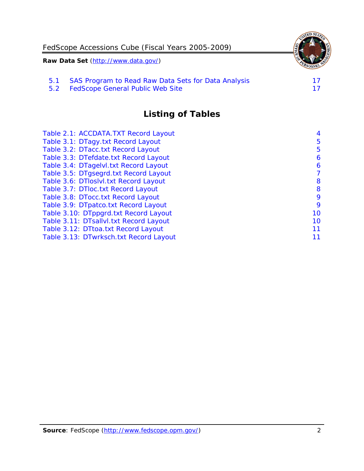|                                     | FedScope Accessions Cube (Fiscal Years 2005-2009)   |  |
|-------------------------------------|-----------------------------------------------------|--|
| Raw Data Set (http://www.data.gov/) |                                                     |  |
| 5.1                                 | SAS Program to Read Raw Data Sets for Data Analysis |  |
| 5.2                                 | FedScope General Public Web Site                    |  |

**Listing of Tables**

| Table 2.1: ACCDATA.TXT Record Layout   | 4  |
|----------------------------------------|----|
| Table 3.1: DTagy.txt Record Layout     | 5  |
| Table 3.2: DTacc.txt Record Layout     | 5  |
| Table 3.3: DTefdate.txt Record Layout  | 6  |
| Table 3.4: DTagelvl.txt Record Layout  | 6  |
| Table 3.5: DTgsegrd.txt Record Layout  | 7  |
| Table 3.6: DTloslvl.txt Record Layout  | 8  |
| Table 3.7: DTloc.txt Record Layout     | 8  |
| Table 3.8: DTocc.txt Record Layout     | 9  |
| Table 3.9: DTpatco.txt Record Layout   | 9  |
| Table 3.10: DTppgrd.txt Record Layout  | 10 |
| Table 3.11: DTsallvl.txt Record Layout | 10 |
| Table 3.12: DTtoa.txt Record Layout    | 11 |
| Table 3.13: DTwrksch.txt Record Layout | 11 |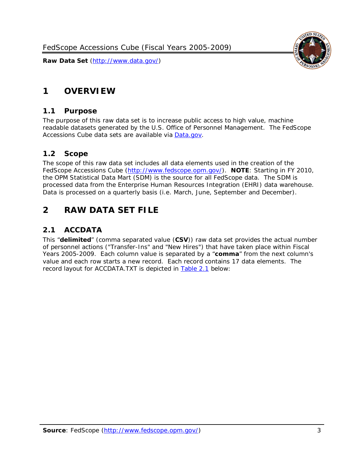

# <span id="page-3-0"></span>**1 OVERVIEW**

#### <span id="page-3-1"></span>*1.1 Purpose*

The purpose of this raw data set is to increase public access to high value, machine readable datasets generated by the U.S. Office of Personnel Management. The FedScope Accessions Cube data sets are available via [Data.gov.](http://www.data.gov/)

#### <span id="page-3-2"></span>*1.2 Scope*

The scope of this raw data set includes all data elements used in the creation of the FedScope Accessions Cube [\(http://www.fedscope.opm.gov/\)](http://www.fedscope.opm.gov/). **NOTE**: Starting in FY 2010, the OPM Statistical Data Mart (SDM) is the source for all FedScope data. The SDM is processed data from the Enterprise Human Resources Integration (EHRI) data warehouse. Data is processed on a quarterly basis (i.e. March, June, September and December).

## <span id="page-3-3"></span>**2 RAW DATA SET FILE**

#### <span id="page-3-4"></span>*2.1 ACCDATA*

This "**delimited**" (comma separated value (**CSV**)) raw data set provides the actual number of personnel actions ("Transfer-Ins" and "New Hires") that have taken place within Fiscal Years 2005-2009. Each column value is separated by a "**comma**" from the next column's value and each row starts a new record. Each record contains 17 data elements. The record layout for ACCDATA.TXT is depicted in [Table 2.1](#page-4-0) below: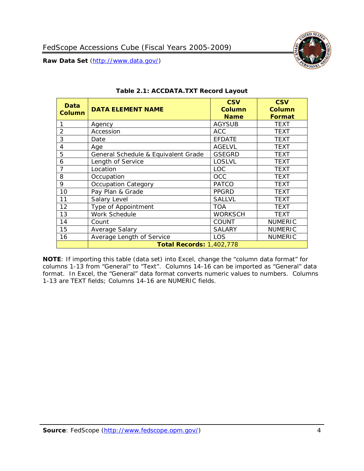

<span id="page-4-0"></span>

| Data<br>Column | <b>DATA ELEMENT NAME</b>            | <b>CSV</b><br>Column<br><b>Name</b> | <b>CSV</b><br><b>Column</b><br><b>Format</b> |
|----------------|-------------------------------------|-------------------------------------|----------------------------------------------|
|                | Agency                              | <b>AGYSUB</b>                       | <b>TEXT</b>                                  |
| $\overline{2}$ | Accession                           | <b>ACC</b>                          | <b>TEXT</b>                                  |
| 3              | Date                                | <b>EFDATE</b>                       | <b>TEXT</b>                                  |
| 4              | Age                                 | <b>AGELVL</b>                       | <b>TEXT</b>                                  |
| 5              | General Schedule & Equivalent Grade | <b>GSEGRD</b>                       | <b>TEXT</b>                                  |
| 6              | Length of Service                   | <b>LOSLVL</b>                       | <b>TEXT</b>                                  |
| 7              | Location                            | <b>LOC</b>                          | <b>TEXT</b>                                  |
| 8              | Occupation                          | OCC                                 | <b>TEXT</b>                                  |
| 9              | Occupation Category                 | <b>PATCO</b>                        | <b>TEXT</b>                                  |
| 10             | Pay Plan & Grade                    | <b>PPGRD</b>                        | <b>TEXT</b>                                  |
| 11             | Salary Level                        | <b>SALLVL</b>                       | <b>TEXT</b>                                  |
| 12             | Type of Appointment                 | <b>TOA</b>                          | <b>TEXT</b>                                  |
| 13             | Work Schedule                       | <b>WORKSCH</b>                      | <b>TEXT</b>                                  |
| 14             | Count                               | COUNT                               | <b>NUMERIC</b>                               |
| 15             | Average Salary                      | <b>SALARY</b>                       | <b>NUMERIC</b>                               |
| 16             | Average Length of Service           | LOS                                 | <b>NUMERIC</b>                               |
|                | <b>Total Records: 1,402,778</b>     |                                     |                                              |

#### **Table 2.1: ACCDATA.TXT Record Layout**

**NOTE**: If importing this table (data set) into Excel, change the "column data format" for columns 1-13 from "General" to "Text". Columns 14-16 can be imported as "General" data format. In Excel, the "General" data format converts numeric values to numbers. Columns 1-13 are TEXT fields; Columns 14-16 are NUMERIC fields.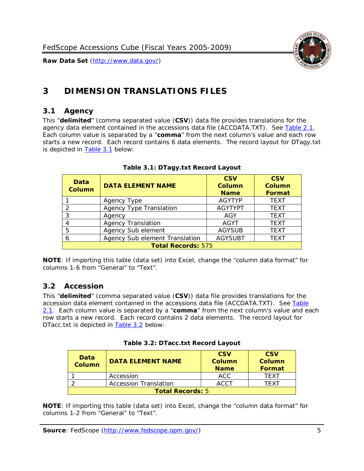

# <span id="page-5-0"></span>**3 DIMENSION TRANSLATIONS FILES**

#### <span id="page-5-1"></span>*3.1 Agency*

This "**delimited**" (comma separated value (**CSV**)) data file provides translations for the agency data element contained in the accessions data file (ACCDATA.TXT). See [Table 2.1.](#page-4-0) Each column value is separated by a "**comma**" from the next column's value and each row starts a new record. Each record contains 6 data elements. The record layout for DTagy.txt is depicted in [Table 3.1](#page-5-3) below:

<span id="page-5-3"></span>

| Data<br><b>Column</b>     | <b>DATA ELEMENT NAME</b>       | <b>CSV</b><br><b>Column</b><br><b>Name</b> | <b>CSV</b><br>Column<br><b>Format</b> |
|---------------------------|--------------------------------|--------------------------------------------|---------------------------------------|
|                           | Agency Type                    | <b>AGYTYP</b>                              | <b>TEXT</b>                           |
| 2                         | <b>Agency Type Translation</b> | <b>AGYTYPT</b>                             | <b>TEXT</b>                           |
| 3                         | Agency                         | AGY                                        | <b>TEXT</b>                           |
|                           | <b>Agency Translation</b>      | <b>AGYT</b>                                | <b>TEXT</b>                           |
| 5                         | Agency Sub element             | <b>AGYSUB</b>                              | <b>TEXT</b>                           |
|                           | Agency Sub element Translation | <b>AGYSUBT</b>                             | <b>TEXT</b>                           |
| <b>Total Records: 575</b> |                                |                                            |                                       |

#### **Table 3.1: DTagy.txt Record Layout**

**NOTE**: If importing this table (data set) into Excel, change the "column data format" for columns 1-6 from "General" to "Text".

#### <span id="page-5-2"></span>*3.2 Accession*

This "**delimited**" (comma separated value (**CSV**)) data file provides translations for the accession data element contained in the accessions data file (ACCDATA.TXT). See [Table](#page-4-0)  [2.1.](#page-4-0) Each column value is separated by a "**comma**" from the next column's value and each row starts a new record. Each record contains 2 data elements. The record layout for DTacc.txt is depicted in [Table 3.2](#page-5-4) below:

<span id="page-5-4"></span>

| Data<br><b>Column</b>   | <b>DATA ELEMENT NAME</b>     | <b>CSV</b><br><b>Column</b><br><b>Name</b> | <b>CSV</b><br>Column<br>Format |
|-------------------------|------------------------------|--------------------------------------------|--------------------------------|
|                         | Accession                    | ACC                                        | TFXT                           |
|                         | <b>Accession Translation</b> | <b>ACCT</b>                                | TFXT                           |
| <b>Total Records: 5</b> |                              |                                            |                                |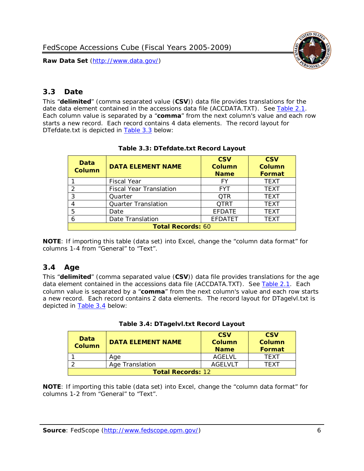

### <span id="page-6-0"></span>*3.3 Date*

This "**delimited**" (comma separated value (**CSV**)) data file provides translations for the date data element contained in the accessions data file (ACCDATA.TXT). See [Table 2.1.](#page-4-0) Each column value is separated by a "**comma**" from the next column's value and each row starts a new record. Each record contains 4 data elements. The record layout for DTefdate.txt is depicted in [Table 3.3](#page-6-2) below:

<span id="page-6-2"></span>

| Data<br><b>Column</b>    | <b>DATA ELEMENT NAME</b>       | <b>CSV</b><br>Column<br><b>Name</b> | <b>CSV</b><br>Column<br><b>Format</b> |
|--------------------------|--------------------------------|-------------------------------------|---------------------------------------|
|                          | <b>Fiscal Year</b>             | FY                                  | <b>TEXT</b>                           |
|                          | <b>Fiscal Year Translation</b> | <b>FYT</b>                          | <b>TEXT</b>                           |
| 3                        | Quarter                        | <b>OTR</b>                          | <b>TEXT</b>                           |
| 4                        | <b>Quarter Translation</b>     | <b>OTRT</b>                         | <b>TEXT</b>                           |
| 5                        | Date                           | <b>EFDATE</b>                       | <b>TEXT</b>                           |
| 6                        | Date Translation               | <b>EFDATET</b>                      | TEXT                                  |
| <b>Total Records: 60</b> |                                |                                     |                                       |

#### **Table 3.3: DTefdate.txt Record Layout**

**NOTE**: If importing this table (data set) into Excel, change the "column data format" for columns 1-4 from "General" to "Text".

## <span id="page-6-1"></span>*3.4 Age*

This "**delimited**" (comma separated value (**CSV**)) data file provides translations for the age data element contained in the accessions data file (ACCDATA.TXT). See [Table 2.1.](#page-4-0) Each column value is separated by a "**comma**" from the next column's value and each row starts a new record. Each record contains 2 data elements. The record layout for DTagelvl.txt is depicted in [Table 3.4](#page-6-3) below:

|  |  | Table 3.4: DTagelvl.txt Record Layout |
|--|--|---------------------------------------|
|--|--|---------------------------------------|

<span id="page-6-3"></span>

| Data<br>Column           | <b>DATA ELEMENT NAME</b> | <b>CSV</b><br><b>Column</b><br><b>Name</b> | <b>CSV</b><br><b>Column</b><br>Format |
|--------------------------|--------------------------|--------------------------------------------|---------------------------------------|
|                          | Age                      | <b>AGELVL</b>                              | <b>TFXT</b>                           |
|                          | Age Translation          | AGFI VI T                                  | TFXT                                  |
| <b>Total Records: 12</b> |                          |                                            |                                       |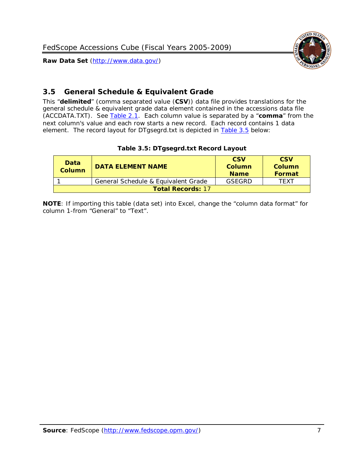

#### <span id="page-7-0"></span>*3.5 General Schedule & Equivalent Grade*

This "**delimited**" (comma separated value (**CSV**)) data file provides translations for the general schedule & equivalent grade data element contained in the accessions data file (ACCDATA.TXT). See [Table 2.1.](#page-4-0) Each column value is separated by a "**comma**" from the next column's value and each row starts a new record. Each record contains 1 data element. The record layout for DTgsegrd.txt is depicted in [Table 3.5](#page-7-1) below:

|  |  | Table 3.5: DTgsegrd.txt Record Layout |
|--|--|---------------------------------------|
|--|--|---------------------------------------|

<span id="page-7-1"></span>

| Data<br>Column           | <b>DATA ELEMENT NAME</b>            | <b>CSV</b><br>Column<br><b>Name</b> | <b>CSV</b><br>Column<br><b>Format</b> |
|--------------------------|-------------------------------------|-------------------------------------|---------------------------------------|
|                          | General Schedule & Equivalent Grade | GSFGRD                              | TFXT                                  |
| <b>Total Records: 17</b> |                                     |                                     |                                       |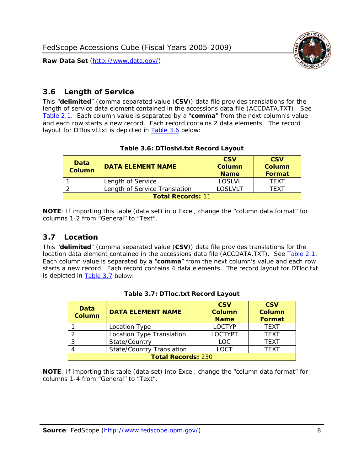



#### <span id="page-8-0"></span>*3.6 Length of Service*

This "**delimited**" (comma separated value (**CSV**)) data file provides translations for the length of service data element contained in the accessions data file (ACCDATA.TXT). See [Table 2.1.](#page-4-0) Each column value is separated by a "**comma**" from the next column's value and each row starts a new record. Each record contains 2 data elements. The record layout for DTloslvl.txt is depicted in **Table 3.6** below:

#### **Table 3.6: DTloslvl.txt Record Layout**

<span id="page-8-2"></span>

| Data<br><b>Column</b>    | <b>DATA ELEMENT NAME</b>      | <b>CSV</b><br>Column<br><b>Name</b> | <b>CSV</b><br>Column<br>Format |
|--------------------------|-------------------------------|-------------------------------------|--------------------------------|
|                          | Length of Service             | <b>LOSLVL</b>                       | TFXT                           |
|                          | Length of Service Translation | LOSLVLT                             | TE XT                          |
| <b>Total Records: 11</b> |                               |                                     |                                |

**NOTE**: If importing this table (data set) into Excel, change the "column data format" for columns 1-2 from "General" to "Text".

#### <span id="page-8-1"></span>*3.7 Location*

This "**delimited**" (comma separated value (**CSV**)) data file provides translations for the location data element contained in the accessions data file (ACCDATA.TXT). See [Table 2.1.](#page-4-0) Each column value is separated by a "**comma**" from the next column's value and each row starts a new record. Each record contains 4 data elements. The record layout for DTloc.txt is depicted in [Table 3.7](#page-8-3) below:

<span id="page-8-3"></span>

| <b>Data</b><br><b>Column</b> | <b>DATA ELEMENT NAME</b>         | <b>CSV</b><br>Column<br><b>Name</b> | <b>CSV</b><br><b>Column</b><br><b>Format</b> |
|------------------------------|----------------------------------|-------------------------------------|----------------------------------------------|
|                              | Location Type                    | <b>LOCTYP</b>                       | <b>TFXT</b>                                  |
|                              | Location Type Translation        | <b>LOCTYPT</b>                      | <b>TFXT</b>                                  |
| ာ                            | State/Country                    | LOC                                 | <b>TFXT</b>                                  |
|                              | <b>State/Country Translation</b> | LOCT                                | <b>TFXT</b>                                  |
| <b>Total Records: 230</b>    |                                  |                                     |                                              |

#### **Table 3.7: DTloc.txt Record Layout**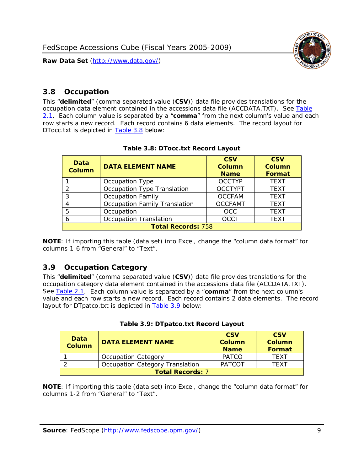

#### <span id="page-9-0"></span>*3.8 Occupation*

This "**delimited**" (comma separated value (**CSV**)) data file provides translations for the occupation data element contained in the accessions data file (ACCDATA.TXT). See [Table](#page-4-0)  [2.1.](#page-4-0) Each column value is separated by a "**comma**" from the next column's value and each row starts a new record. Each record contains 6 data elements. The record layout for DTocc.txt is depicted in [Table 3.8](#page-9-2) below:

<span id="page-9-2"></span>

| Data<br><b>Column</b>     | <b>DATA ELEMENT NAME</b>             | <b>CSV</b><br><b>Column</b><br><b>Name</b> | <b>CSV</b><br><b>Column</b><br><b>Format</b> |
|---------------------------|--------------------------------------|--------------------------------------------|----------------------------------------------|
|                           | Occupation Type                      | <b>OCCTYP</b>                              | <b>TEXT</b>                                  |
|                           | Occupation Type Translation          | <b>OCCTYPT</b>                             | <b>TEXT</b>                                  |
| 3                         | <b>Occupation Family</b>             | <b>OCCFAM</b>                              | <b>TEXT</b>                                  |
|                           | <b>Occupation Family Translation</b> | <b>OCCFAMT</b>                             | <b>TEXT</b>                                  |
|                           | Occupation                           | <b>OCC</b>                                 | <b>TEXT</b>                                  |
|                           | <b>Occupation Translation</b>        | <b>OCCT</b>                                | <b>TEXT</b>                                  |
| <b>Total Records: 758</b> |                                      |                                            |                                              |

| Table 3.8: DTocc.txt Record Layout |  |  |
|------------------------------------|--|--|
|                                    |  |  |

**NOTE**: If importing this table (data set) into Excel, change the "column data format" for columns 1-6 from "General" to "Text".

#### <span id="page-9-1"></span>*3.9 Occupation Category*

This "**delimited**" (comma separated value (**CSV**)) data file provides translations for the occupation category data element contained in the accessions data file (ACCDATA.TXT). See [Table 2.1.](#page-4-0) Each column value is separated by a "**comma**" from the next column's value and each row starts a new record. Each record contains 2 data elements. The record layout for DTpatco.txt is depicted in [Table 3.9](#page-9-3) below:

| Table 3.9: DTpatco.txt Record Layout |  |  |  |
|--------------------------------------|--|--|--|
|                                      |  |  |  |

<span id="page-9-3"></span>

| <b>Data</b><br><b>Column</b> | <b>DATA ELEMENT NAME</b>               | <b>CSV</b><br>Column<br><b>Name</b> | <b>CSV</b><br>Column<br><b>Format</b> |
|------------------------------|----------------------------------------|-------------------------------------|---------------------------------------|
|                              | <b>Occupation Category</b>             | <b>PATCO</b>                        | <b>TFXT</b>                           |
|                              | <b>Occupation Category Translation</b> | <b>PATCOT</b>                       | <b>TFXT</b>                           |
| <b>Total Records: 7</b>      |                                        |                                     |                                       |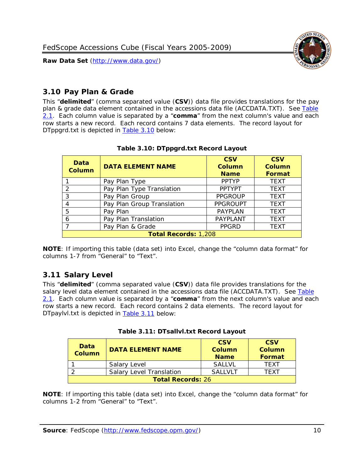

## <span id="page-10-0"></span>*3.10 Pay Plan & Grade*

This "**delimited**" (comma separated value (**CSV**)) data file provides translations for the pay plan & grade data element contained in the accessions data file (ACCDATA.TXT). See [Table](#page-4-0)  [2.1.](#page-4-0) Each column value is separated by a "**comma**" from the next column's value and each row starts a new record. Each record contains 7 data elements. The record layout for DTppgrd.txt is depicted in [Table 3.10](#page-10-2) below:

<span id="page-10-2"></span>

| Data<br><b>Column</b> | <b>DATA ELEMENT NAME</b>    | <b>CSV</b><br>Column<br><b>Name</b> | <b>CSV</b><br><b>Column</b><br><b>Format</b> |  |
|-----------------------|-----------------------------|-------------------------------------|----------------------------------------------|--|
|                       | Pay Plan Type               | <b>PPTYP</b>                        | <b>TEXT</b>                                  |  |
| $\mathcal{P}$         | Pay Plan Type Translation   | <b>PPTYPT</b>                       | <b>TEXT</b>                                  |  |
| 3                     | Pay Plan Group              | <b>PPGROUP</b>                      | <b>TEXT</b>                                  |  |
|                       | Pay Plan Group Translation  | <b>PPGROUPT</b>                     | <b>TEXT</b>                                  |  |
| 5                     | Pay Plan                    | <b>PAYPLAN</b>                      | <b>TEXT</b>                                  |  |
| 6                     | Pay Plan Translation        | PAYPLANT                            | <b>TEXT</b>                                  |  |
|                       | Pay Plan & Grade            | <b>PPGRD</b>                        | <b>TEXT</b>                                  |  |
|                       | <b>Total Records: 1,208</b> |                                     |                                              |  |

#### **Table 3.10: DTppgrd.txt Record Layout**

**NOTE**: If importing this table (data set) into Excel, change the "column data format" for columns 1-7 from "General" to "Text".

## <span id="page-10-1"></span>*3.11 Salary Level*

This "**delimited**" (comma separated value (**CSV**)) data file provides translations for the salary level data element contained in the accessions data file (ACCDATA.TXT). See [Table](#page-4-0)  [2.1.](#page-4-0) Each column value is separated by a "**comma**" from the next column's value and each row starts a new record. Each record contains 2 data elements. The record layout for DTpaylvl.txt is depicted in [Table 3.11](#page-10-3) below:

<span id="page-10-3"></span>

| Data<br>Column           | <b>DATA ELEMENT NAME</b>        | <b>CSV</b><br><b>Column</b><br><b>Name</b> | <b>CSV</b><br>Column<br>Format |
|--------------------------|---------------------------------|--------------------------------------------|--------------------------------|
|                          | Salary Level                    | <b>SALLVL</b>                              | TFXT                           |
|                          | <b>Salary Level Translation</b> | <b>SAILVLT</b>                             | <b>TFXT</b>                    |
| <b>Total Records: 26</b> |                                 |                                            |                                |

|  | Table 3.11: DTsallvl.txt Record Layout |  |
|--|----------------------------------------|--|
|  |                                        |  |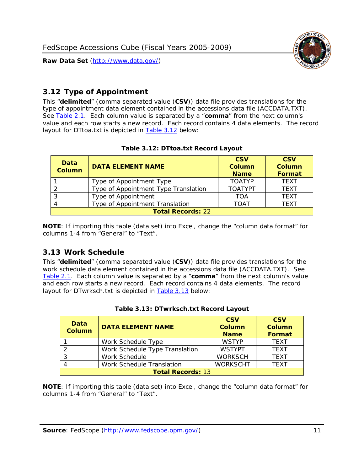



### <span id="page-11-0"></span>*3.12 Type of Appointment*

This "**delimited**" (comma separated value (**CSV**)) data file provides translations for the type of appointment data element contained in the accessions data file (ACCDATA.TXT). See [Table 2.1.](#page-4-0) Each column value is separated by a "**comma**" from the next column's value and each row starts a new record. Each record contains 4 data elements. The record layout for DTtoa.txt is depicted in **Table 3.12** below:

<span id="page-11-2"></span>

| Data<br><b>Column</b>    | <b>DATA ELEMENT NAME</b>             | <b>CSV</b><br>Column<br><b>Name</b> | <b>CSV</b><br><b>Column</b><br>Format |  |
|--------------------------|--------------------------------------|-------------------------------------|---------------------------------------|--|
|                          | Type of Appointment Type             | <b>TOATYP</b>                       | <b>TEXT</b>                           |  |
|                          | Type of Appointment Type Translation | <b>TOATYPT</b>                      | <b>TEXT</b>                           |  |
| 3                        | Type of Appointment                  | TOA                                 | <b>TEXT</b>                           |  |
| 4                        | Type of Appointment Translation      | <b>TOAT</b>                         | <b>TEXT</b>                           |  |
| <b>Total Records: 22</b> |                                      |                                     |                                       |  |

#### **Table 3.12: DTtoa.txt Record Layout**

**NOTE**: If importing this table (data set) into Excel, change the "column data format" for columns 1-4 from "General" to "Text".

#### <span id="page-11-1"></span>*3.13 Work Schedule*

This "**delimited**" (comma separated value (**CSV**)) data file provides translations for the work schedule data element contained in the accessions data file (ACCDATA.TXT). See [Table 2.1.](#page-4-0) Each column value is separated by a "**comma**" from the next column's value and each row starts a new record. Each record contains 4 data elements. The record layout for DTwrksch.txt is depicted in [Table 3.13](#page-11-3) below:

<span id="page-11-3"></span>

| Data<br><b>Column</b>    | <b>DATA ELEMENT NAME</b>       | <b>CSV</b><br><b>Column</b><br><b>Name</b> | <b>CSV</b><br><b>Column</b><br><b>Format</b> |
|--------------------------|--------------------------------|--------------------------------------------|----------------------------------------------|
|                          | Work Schedule Type             | <b>WSTYP</b>                               | <b>TEXT</b>                                  |
|                          | Work Schedule Type Translation | <b>WSTYPT</b>                              | <b>TFXT</b>                                  |
|                          | Work Schedule                  | <b>WORKSCH</b>                             | <b>TFXT</b>                                  |
|                          | Work Schedule Translation      | <b>WORKSCHT</b>                            | <b>TFXT</b>                                  |
| <b>Total Records: 13</b> |                                |                                            |                                              |

|  | Table 3.13: DTwrksch.txt Record Layout |  |
|--|----------------------------------------|--|
|  |                                        |  |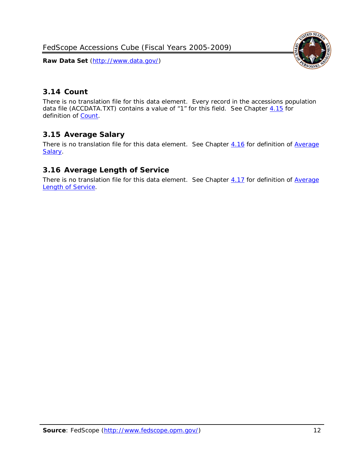FedScope Accessions Cube (Fiscal Years 2005-2009)

**Raw Data Set** (http://www.data.gov/)



## <span id="page-12-0"></span>*3.14 Count*

There is no translation file for this data element. Every record in the accessions population data file (ACCDATA.TXT) contains a value of "1" for this field. See Chapter  $4.15$  for definition of [Count.](#page-16-2)

## <span id="page-12-1"></span>*3.15 Average Salary*

There is no translation file for this data element. See Chapter [4.16](#page-16-3) for definition of Average [Salary.](#page-16-3)

## <span id="page-12-2"></span>*3.16 Average Length of Service*

There is no translation file for this data element. See Chapter [4.17](#page-16-4) for definition of Average [Length of Service.](#page-16-4)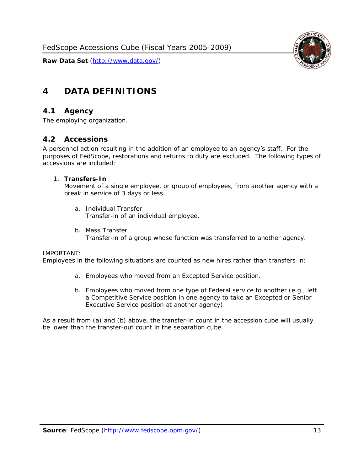



## <span id="page-13-0"></span>**4 DATA DEFINITIONS**

#### <span id="page-13-1"></span>*4.1 Agency*

<span id="page-13-2"></span>The employing organization.

#### *4.2 Accessions*

A personnel action resulting in the addition of an employee to an agency's staff. For the purposes of FedScope, restorations and returns to duty are excluded. The following types of accessions are included:

#### 1. **Transfers-In**

Movement of a single employee, or group of employees, from another agency with a break in service of 3 days or less.

- a. *Individual Transfer* Transfer-in of an individual employee.
- b. *Mass Transfer* Transfer-in of a group whose function was transferred to another agency.

#### IMPORTANT:

Employees in the following situations are counted as new hires rather than transfers-in:

- a. Employees who moved from an Excepted Service position.
- b. Employees who moved from one type of Federal service to another (e.g., left a Competitive Service position in one agency to take an Excepted or Senior Executive Service position at another agency).

As a result from (a) and (b) above, the transfer-in count in the accession cube will usually be lower than the transfer-out count in the separation cube.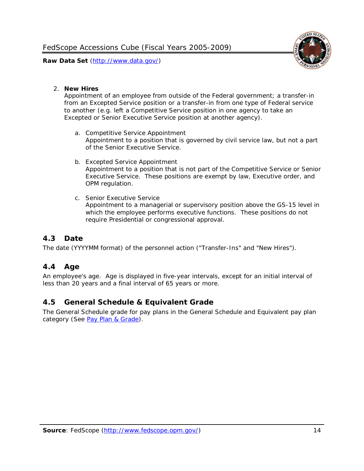

#### 2. **New Hires**

Appointment of an employee from outside of the Federal government; a transfer-in from an Excepted Service position or a transfer-in from one type of Federal service to another (e.g. left a Competitive Service position in one agency to take an Excepted or Senior Executive Service position at another agency).

- a. *Competitive Service Appointment* Appointment to a position that is governed by civil service law, but not a part of the Senior Executive Service.
- b. *Excepted Service Appointment* Appointment to a position that is not part of the Competitive Service or Senior Executive Service. These positions are exempt by law, Executive order, and OPM regulation.
- c. *Senior Executive Service* Appointment to a managerial or supervisory position above the GS-15 level in which the employee performs executive functions. These positions do not require Presidential or congressional approval.

## <span id="page-14-0"></span>*4.3 Date*

<span id="page-14-1"></span>The date (YYYYMM format) of the personnel action ("Transfer-Ins" and "New Hires").

#### *4.4 Age*

An employee's age. Age is displayed in five-year intervals, except for an initial interval of less than 20 years and a final interval of 65 years or more.

#### <span id="page-14-2"></span>*4.5 General Schedule & Equivalent Grade*

The General Schedule grade for pay plans in the General Schedule and Equivalent pay plan category (See [Pay Plan & Grade\)](#page-10-0).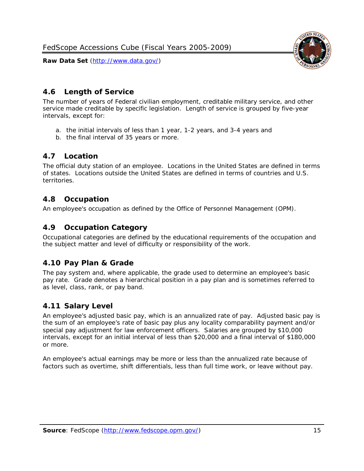

### <span id="page-15-0"></span>*4.6 Length of Service*

The number of years of Federal civilian employment, creditable military service, and other service made creditable by specific legislation. Length of service is grouped by five-year intervals, except for:

- a. the initial intervals of less than 1 year, 1-2 years, and 3-4 years and
- b. the final interval of 35 years or more.

#### <span id="page-15-1"></span>*4.7 Location*

The official duty station of an employee. Locations in the United States are defined in terms of states. Locations outside the United States are defined in terms of countries and U.S. territories.

#### <span id="page-15-2"></span>*4.8 Occupation*

<span id="page-15-3"></span>An employee's occupation as defined by the Office of Personnel Management (OPM).

#### *4.9 Occupation Category*

Occupational categories are defined by the educational requirements of the occupation and the subject matter and level of difficulty or responsibility of the work.

#### <span id="page-15-4"></span>*4.10 Pay Plan & Grade*

The pay system and, where applicable, the grade used to determine an employee's basic pay rate. Grade denotes a hierarchical position in a pay plan and is sometimes referred to as level, class, rank, or pay band.

#### <span id="page-15-5"></span>*4.11 Salary Level*

An employee's adjusted basic pay, which is an annualized rate of pay. Adjusted basic pay is the sum of an employee's rate of basic pay plus any locality comparability payment and/or special pay adjustment for law enforcement officers. Salaries are grouped by \$10,000 intervals, except for an initial interval of less than \$20,000 and a final interval of \$180,000 or more.

An employee's actual earnings may be more or less than the annualized rate because of factors such as overtime, shift differentials, less than full time work, or leave without pay.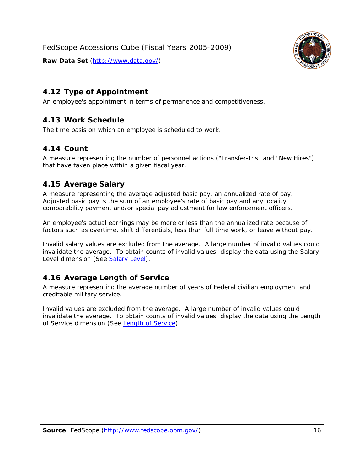<span id="page-16-0"></span>

<span id="page-16-1"></span>An employee's appointment in terms of permanence and competitiveness.

## *4.13 Work Schedule*

<span id="page-16-2"></span>The time basis on which an employee is scheduled to work.

#### *4.14 Count*

A measure representing the number of personnel actions ("Transfer-Ins" and "New Hires") that have taken place within a given fiscal year.

## <span id="page-16-3"></span>*4.15 Average Salary*

A measure representing the average adjusted basic pay, an annualized rate of pay. Adjusted basic pay is the sum of an employee's rate of basic pay and any locality comparability payment and/or special pay adjustment for law enforcement officers.

An employee's actual earnings may be more or less than the annualized rate because of factors such as overtime, shift differentials, less than full time work, or leave without pay.

Invalid salary values are excluded from the average. A large number of invalid values could invalidate the average. To obtain counts of invalid values, display the data using the Salary Level dimension (See [Salary Level\)](#page-15-5).

## <span id="page-16-4"></span>*4.16 Average Length of Service*

A measure representing the average number of years of Federal civilian employment and creditable military service.

Invalid values are excluded from the average. A large number of invalid values could invalidate the average. To obtain counts of invalid values, display the data using the Length of Service dimension (See [Length of Service\)](#page-15-0).